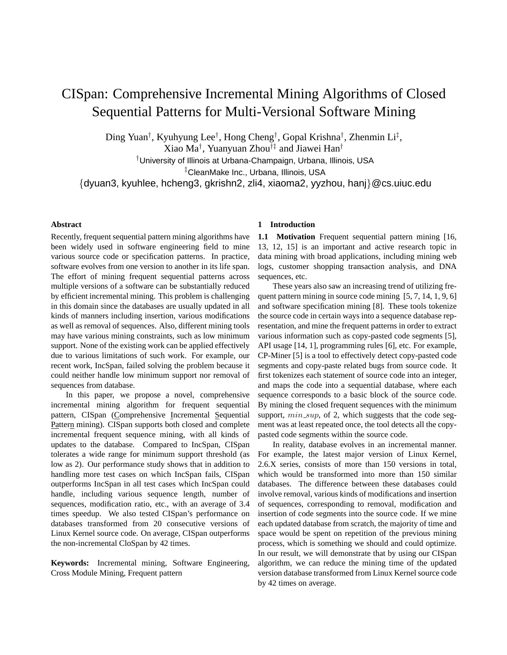# CISpan: Comprehensive Incremental Mining Algorithms of Closed Sequential Patterns for Multi-Versional Software Mining

Ding Yuan<sup>†</sup>, Kyuhyung Lee<sup>†</sup>, Hong Cheng<sup>†</sup>, Gopal Krishna<sup>†</sup>, Zhenmin Li<sup>‡</sup>,

Xiao Ma† , Yuanyuan Zhou†‡ and Jiawei Han†

†University of Illinois at Urbana-Champaign, Urbana, Illinois, USA

‡CleanMake Inc., Urbana, Illinois, USA

{dyuan3, kyuhlee, hcheng3, gkrishn2, zli4, xiaoma2, yyzhou, hanj}@cs.uiuc.edu

#### **Abstract**

Recently, frequent sequential pattern mining algorithms have been widely used in software engineering field to mine various source code or specification patterns. In practice, software evolves from one version to another in its life span. The effort of mining frequent sequential patterns across multiple versions of a software can be substantially reduced by efficient incremental mining. This problem is challenging in this domain since the databases are usually updated in all kinds of manners including insertion, various modifications as well as removal of sequences. Also, different mining tools may have various mining constraints, such as low minimum support. None of the existing work can be applied effectively due to various limitations of such work. For example, our recent work, IncSpan, failed solving the problem because it could neither handle low minimum support nor removal of sequences from database.

In this paper, we propose a novel, comprehensive incremental mining algorithm for frequent sequential pattern, CISpan (Comprehensive Incremental Sequential Pattern mining). CISpan supports both closed and complete incremental frequent sequence mining, with all kinds of updates to the database. Compared to IncSpan, CISpan tolerates a wide range for minimum support threshold (as low as 2). Our performance study shows that in addition to handling more test cases on which IncSpan fails, CISpan outperforms IncSpan in all test cases which IncSpan could handle, including various sequence length, number of sequences, modification ratio, etc., with an average of 3.4 times speedup. We also tested CISpan's performance on databases transformed from 20 consecutive versions of Linux Kernel source code. On average, CISpan outperforms the non-incremental CloSpan by 42 times.

**Keywords:** Incremental mining, Software Engineering, Cross Module Mining, Frequent pattern

#### **1 Introduction**

**1.1 Motivation** Frequent sequential pattern mining [16, 13, 12, 15] is an important and active research topic in data mining with broad applications, including mining web logs, customer shopping transaction analysis, and DNA sequences, etc.

These years also saw an increasing trend of utilizing frequent pattern mining in source code mining [5, 7, 14, 1, 9, 6] and software specification mining [8]. These tools tokenize the source code in certain ways into a sequence database representation, and mine the frequent patterns in order to extract various information such as copy-pasted code segments [5], API usage [14, 1], programming rules [6], etc. For example, CP-Miner [5] is a tool to effectively detect copy-pasted code segments and copy-paste related bugs from source code. It first tokenizes each statement of source code into an integer, and maps the code into a sequential database, where each sequence corresponds to a basic block of the source code. By mining the closed frequent sequences with the minimum support,  $min\_sup$ , of 2, which suggests that the code segment was at least repeated once, the tool detects all the copypasted code segments within the source code.

In reality, database evolves in an incremental manner. For example, the latest major version of Linux Kernel, 2.6.X series, consists of more than 150 versions in total, which would be transformed into more than 150 similar databases. The difference between these databases could involve removal, various kinds of modifications and insertion of sequences, corresponding to removal, modification and insertion of code segments into the source code. If we mine each updated database from scratch, the majority of time and space would be spent on repetition of the previous mining process, which is something we should and could optimize. In our result, we will demonstrate that by using our CISpan algorithm, we can reduce the mining time of the updated version database transformed from Linux Kernel source code by 42 times on average.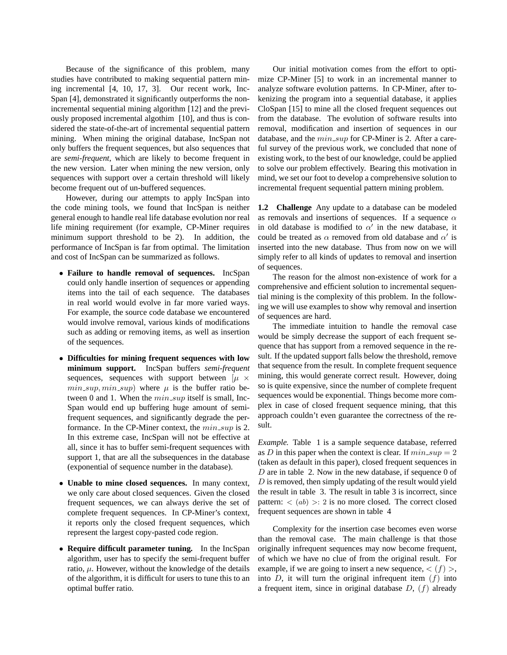Because of the significance of this problem, many studies have contributed to making sequential pattern mining incremental [4, 10, 17, 3]. Our recent work, Inc-Span [4], demonstrated it significantly outperforms the nonincremental sequential mining algorithm [12] and the previously proposed incremental algothim [10], and thus is considered the state-of-the-art of incremental sequential pattern mining. When mining the original database, IncSpan not only buffers the frequent sequences, but also sequences that are *semi-frequent*, which are likely to become frequent in the new version. Later when mining the new version, only sequences with support over a certain threshold will likely become frequent out of un-buffered sequences.

However, during our attempts to apply IncSpan into the code mining tools, we found that IncSpan is neither general enough to handle real life database evolution nor real life mining requirement (for example, CP-Miner requires minimum support threshold to be 2). In addition, the performance of IncSpan is far from optimal. The limitation and cost of IncSpan can be summarized as follows.

- **Failure to handle removal of sequences.** IncSpan could only handle insertion of sequences or appending items into the tail of each sequence. The databases in real world would evolve in far more varied ways. For example, the source code database we encountered would involve removal, various kinds of modifications such as adding or removing items, as well as insertion of the sequences.
- **Difficulties for mining frequent sequences with low minimum support.** IncSpan buffers *semi-frequent* sequences, sequences with support between  $[\mu \times$  $min\_sup, min\_sup$ ) where  $\mu$  is the buffer ratio between 0 and 1. When the  $min\_sup$  itself is small, Inc-Span would end up buffering huge amount of semifrequent sequences, and significantly degrade the performance. In the CP-Miner context, the  $min\_sup$  is 2. In this extreme case, IncSpan will not be effective at all, since it has to buffer semi-frequent sequences with support 1, that are all the subsequences in the database (exponential of sequence number in the database).
- **Unable to mine closed sequences.** In many context, we only care about closed sequences. Given the closed frequent sequences, we can always derive the set of complete frequent sequences. In CP-Miner's context, it reports only the closed frequent sequences, which represent the largest copy-pasted code region.
- **Require difficult parameter tuning.** In the IncSpan algorithm, user has to specify the semi-frequent buffer ratio,  $\mu$ . However, without the knowledge of the details of the algorithm, it is difficult for users to tune this to an optimal buffer ratio.

Our initial motivation comes from the effort to optimize CP-Miner [5] to work in an incremental manner to analyze software evolution patterns. In CP-Miner, after tokenizing the program into a sequential database, it applies CloSpan [15] to mine all the closed frequent sequences out from the database. The evolution of software results into removal, modification and insertion of sequences in our database, and the  $min\_sup$  for CP-Miner is 2. After a careful survey of the previous work, we concluded that none of existing work, to the best of our knowledge, could be applied to solve our problem effectively. Bearing this motivation in mind, we set our foot to develop a comprehensive solution to incremental frequent sequential pattern mining problem.

**1.2 Challenge** Any update to a database can be modeled as removals and insertions of sequences. If a sequence  $\alpha$ in old database is modified to  $\alpha'$  in the new database, it could be treated as  $\alpha$  removed from old database and  $\alpha'$  is inserted into the new database. Thus from now on we will simply refer to all kinds of updates to removal and insertion of sequences.

The reason for the almost non-existence of work for a comprehensive and efficient solution to incremental sequential mining is the complexity of this problem. In the following we will use examples to show why removal and insertion of sequences are hard.

The immediate intuition to handle the removal case would be simply decrease the support of each frequent sequence that has support from a removed sequence in the result. If the updated support falls below the threshold, remove that sequence from the result. In complete frequent sequence mining, this would generate correct result. However, doing so is quite expensive, since the number of complete frequent sequences would be exponential. Things become more complex in case of closed frequent sequence mining, that this approach couldn't even guarantee the correctness of the result.

*Example.* Table 1 is a sample sequence database, referred as D in this paper when the context is clear. If  $min\_sup = 2$ (taken as default in this paper), closed frequent sequences in  $D$  are in table 2. Now in the new database, if sequence 0 of  $D$  is removed, then simply updating of the result would yield the result in table 3. The result in table 3 is incorrect, since pattern:  $\langle$  (ab)  $\rangle$ : 2 is no more closed. The correct closed frequent sequences are shown in table 4

Complexity for the insertion case becomes even worse than the removal case. The main challenge is that those originally infrequent sequences may now become frequent, of which we have no clue of from the original result. For example, if we are going to insert a new sequence,  $\langle f \rangle$ , into  $D$ , it will turn the original infrequent item  $(f)$  into a frequent item, since in original database  $D$ ,  $(f)$  already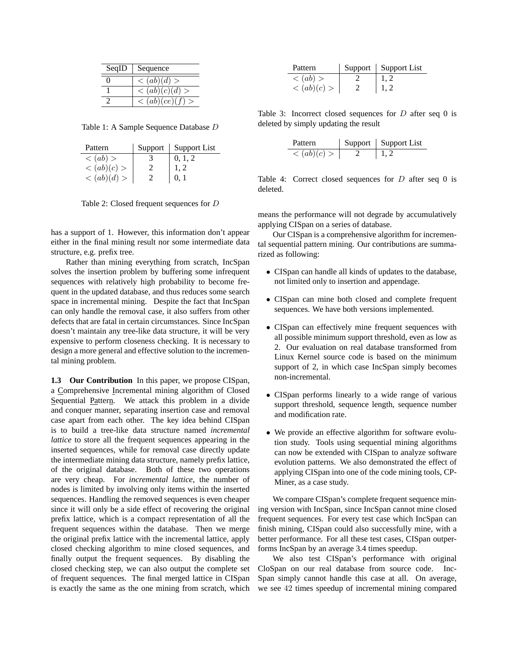| SeqID | Sequence                         |
|-------|----------------------------------|
|       | $\langle (ab)(d) \rangle$        |
|       | $\langle (ab)(c)(d) \rangle$     |
|       | $\overline{\langle} (ab)(ce)(f)$ |

Table 1: A Sample Sequence Database D

| Pattern                   | Support   Support List |
|---------------------------|------------------------|
| $\langle (ab) \rangle$    | 0, 1, 2                |
| $\langle (ab)(c) \rangle$ |                        |
| $\langle (ab)(d) \rangle$ | 0, 1                   |

Table 2: Closed frequent sequences for D

has a support of 1. However, this information don't appear either in the final mining result nor some intermediate data structure, e.g. prefix tree.

Rather than mining everything from scratch, IncSpan solves the insertion problem by buffering some infrequent sequences with relatively high probability to become frequent in the updated database, and thus reduces some search space in incremental mining. Despite the fact that IncSpan can only handle the removal case, it also suffers from other defects that are fatal in certain circumstances. Since IncSpan doesn't maintain any tree-like data structure, it will be very expensive to perform closeness checking. It is necessary to design a more general and effective solution to the incremental mining problem.

**1.3 Our Contribution** In this paper, we propose CISpan, a Comprehensive Incremental mining algorithm of Closed Sequential Pattern. We attack this problem in a divide and conquer manner, separating insertion case and removal case apart from each other. The key idea behind CISpan is to build a tree-like data structure named *incremental lattice* to store all the frequent sequences appearing in the inserted sequences, while for removal case directly update the intermediate mining data structure, namely prefix lattice, of the original database. Both of these two operations are very cheap. For *incremental lattice*, the number of nodes is limited by involving only items within the inserted sequences. Handling the removed sequences is even cheaper since it will only be a side effect of recovering the original prefix lattice, which is a compact representation of all the frequent sequences within the database. Then we merge the original prefix lattice with the incremental lattice, apply closed checking algorithm to mine closed sequences, and finally output the frequent sequences. By disabling the closed checking step, we can also output the complete set of frequent sequences. The final merged lattice in CISpan is exactly the same as the one mining from scratch, which

| Pattern                   | Support   Support List |
|---------------------------|------------------------|
| $\langle (ab) \rangle$    |                        |
| $\langle (ab)(c) \rangle$ | 1.2                    |

Table 3: Incorrect closed sequences for  $D$  after seq 0 is deleted by simply updating the result

| Pattern                   | Support   Support List |
|---------------------------|------------------------|
| $\langle (ab)(c) \rangle$ |                        |

Table 4: Correct closed sequences for  $D$  after seq 0 is deleted.

means the performance will not degrade by accumulatively applying CISpan on a series of database.

Our CISpan is a comprehensive algorithm for incremental sequential pattern mining. Our contributions are summarized as following:

- CISpan can handle all kinds of updates to the database, not limited only to insertion and appendage.
- CISpan can mine both closed and complete frequent sequences. We have both versions implemented.
- CISpan can effectively mine frequent sequences with all possible minimum support threshold, even as low as 2. Our evaluation on real database transformed from Linux Kernel source code is based on the minimum support of 2, in which case IncSpan simply becomes non-incremental.
- CISpan performs linearly to a wide range of various support threshold, sequence length, sequence number and modification rate.
- We provide an effective algorithm for software evolution study. Tools using sequential mining algorithms can now be extended with CISpan to analyze software evolution patterns. We also demonstrated the effect of applying CISpan into one of the code mining tools, CP-Miner, as a case study.

We compare CISpan's complete frequent sequence mining version with IncSpan, since IncSpan cannot mine closed frequent sequences. For every test case which IncSpan can finish mining, CISpan could also successfully mine, with a better performance. For all these test cases, CISpan outperforms IncSpan by an average 3.4 times speedup.

We also test CISpan's performance with original CloSpan on our real database from source code. Inc-Span simply cannot handle this case at all. On average, we see 42 times speedup of incremental mining compared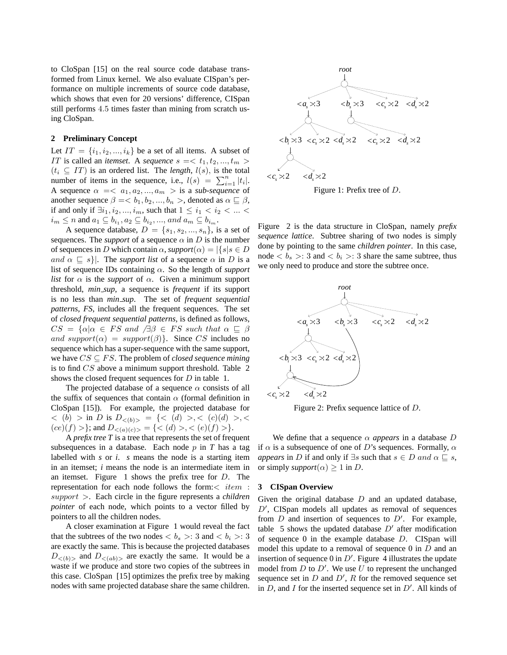to CloSpan [15] on the real source code database transformed from Linux kernel. We also evaluate CISpan's performance on multiple increments of source code database, which shows that even for 20 versions' difference, CISpan still performs 4.5 times faster than mining from scratch using CloSpan.

## **2 Preliminary Concept**

Let  $IT = \{i_1, i_2, ..., i_k\}$  be a set of all items. A subset of IT is called an *itemset*. A *sequence*  $s =$  $(t_i \subseteq IT)$  is an ordered list. The *length*,  $l(s)$ , is the total number of items in the sequence, i.e.,  $l(s) = \sum_{i=1}^{n} |t_i|$ . A sequence  $\alpha =$  is a *sub-sequence* of another sequence  $\beta = < b_1, b_2, ..., b_n >$ , denoted as  $\alpha \sqsubseteq \beta$ , if and only if  $\exists i_1, i_2, ..., i_m$ , such that  $1 ≤ i_1 < i_2 < ... <$  $i_m \leq n$  and  $a_1 \subseteq b_{i_1}, a_2 \subseteq b_{i_2}, ..., and a_m \subseteq b_{i_m}$ .

A sequence database,  $D = \{s_1, s_2, ..., s_n\}$ , is a set of sequences. The *support* of a sequence  $\alpha$  in D is the number of sequences in D which contain  $\alpha$ ,  $support(\alpha) = |\{s | s \in D\}$ and  $\alpha \subseteq s$ . The *support list* of a sequence  $\alpha$  in D is a list of sequence IDs containing α. So the length of *support list* for  $\alpha$  is the *support* of  $\alpha$ . Given a minimum support threshold, *min sup*, a sequence is *frequent* if its support is no less than *min sup*. The set of *frequent sequential patterns, FS*, includes all the frequent sequences. The set of *closed frequent sequential patterns*, is defined as follows,  $CS = {\alpha | \alpha \in FS \text{ and } \exists \beta \in FS \text{ such that } \alpha \subseteq \beta$ and support( $\alpha$ ) = support( $\beta$ ). Since CS includes no sequence which has a super-sequence with the same support, we have  $CS \subseteq FS$ . The problem of *closed sequence mining* is to find CS above a minimum support threshold. Table 2 shows the closed frequent sequences for D in table 1.

The projected database of a sequence  $\alpha$  consists of all the suffix of sequences that contain  $\alpha$  (formal definition in CloSpan [15]). For example, the projected database for  $\langle$  (b) > in D is  $D_{\langle b \rangle} = \{ \langle d \rangle >, \langle c \rangle (d) >, \langle d \rangle$  $(ce)(f) >$ ; and  $D_{<(a)(c)>} = \{<(d)>, (e)(f)>\}.$ 

A *prefix tree T* is a tree that represents the set of frequent subsequences in a database. Each node  $p$  in  $T$  has a tag labelled with *s* or *i*. *s* means the node is a starting item in an itemset; *i* means the node is an intermediate item in an itemset. Figure 1 shows the prefix tree for  $D$ . The representation for each node follows the form:< item : support >. Each circle in the figure represents a *children pointer* of each node, which points to a vector filled by pointers to all the children nodes.

A closer examination at Figure 1 would reveal the fact that the subtrees of the two nodes  **and**  $**k** >: 3$ are exactly the same. This is because the projected databases  $D_{\langle b \rangle}$  and  $D_{\langle (ab) \rangle}$  are exactly the same. It would be a waste if we produce and store two copies of the subtrees in this case. CloSpan [15] optimizes the prefix tree by making nodes with same projected database share the same children.



Figure 2 is the data structure in CloSpan, namely *prefix sequence lattice*. Subtree sharing of two nodes is simply done by pointing to the same *children pointer*. In this case, node  **and**  $**k**<sub>i</sub> >: 3$  **share the same subtree, thus** we only need to produce and store the subtree once.



Figure 2: Prefix sequence lattice of D.

We define that a sequence  $\alpha$  *appears* in a database D if  $\alpha$  is a subsequence of one of D's sequences. Formally,  $\alpha$ *appears* in D if and only if  $\exists s$  such that  $s \in D$  and  $\alpha \subseteq s$ , or simply *support* $(\alpha) \ge 1$  in *D*.

#### **3 CISpan Overview**

Given the original database  $D$  and an updated database,  $D'$ , CISpan models all updates as removal of sequences from  $D$  and insertion of sequences to  $D'$ . For example, table 5 shows the updated database  $D'$  after modification of sequence 0 in the example database D. CISpan will model this update to a removal of sequence  $0$  in  $D$  and an insertion of sequence 0 in  $D'$ . Figure 4 illustrates the update model from  $D$  to  $D'$ . We use  $U$  to represent the unchanged sequence set in  $D$  and  $D'$ ,  $R$  for the removed sequence set in  $D$ , and  $I$  for the inserted sequence set in  $D'$ . All kinds of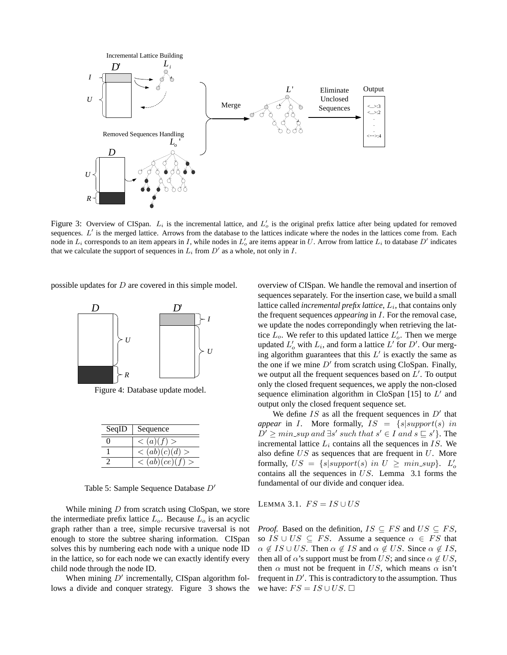

Figure 3: Overview of CISpan.  $L_i$  is the incremental lattice, and  $L'_o$  is the original prefix lattice after being updated for removed sequences.  $L'$  is the merged lattice. Arrows from the database to the lattices indicate where the nodes in the lattices come from. Each node in  $L_i$  corresponds to an item appears in I, while nodes in  $L'_o$  are items appear in U. Arrow from lattice  $L_i$  to database  $D'$  indicates that we calculate the support of sequences in  $L_i$  from  $D'$  as a whole, not only in  $I$ .

possible updates for  $D$  are covered in this simple model.



Figure 4: Database update model.

| SeqID | Sequence                      |
|-------|-------------------------------|
|       | $\langle (a)(f) \rangle$      |
|       | $\langle (ab)(c)(d) \rangle$  |
|       | $\langle (ab)(ce)(f) \rangle$ |

Table 5: Sample Sequence Database  $D'$ 

While mining  $D$  from scratch using CloSpan, we store the intermediate prefix lattice  $L<sub>o</sub>$ . Because  $L<sub>o</sub>$  is an acyclic graph rather than a tree, simple recursive traversal is not enough to store the subtree sharing information. CISpan solves this by numbering each node with a unique node ID in the lattice, so for each node we can exactly identify every child node through the node ID.

When mining  $D'$  incrementally, CISpan algorithm follows a divide and conquer strategy. Figure 3 shows the overview of CISpan. We handle the removal and insertion of sequences separately. For the insertion case, we build a small lattice called *incremental prefix lattice*,  $L_i$ , that contains only the frequent sequences *appearing* in I. For the removal case, we update the nodes correpondingly when retrieving the lattice  $L_o$ . We refer to this updated lattice  $L'_o$ . Then we merge updated  $L'_o$  with  $L_i$ , and form a lattice  $L'$  for  $D'$ . Our merging algorithm guarantees that this  $L'$  is exactly the same as the one if we mine  $D'$  from scratch using CloSpan. Finally, we output all the frequent sequences based on  $L'$ . To output only the closed frequent sequences, we apply the non-closed sequence elimination algorithm in CloSpan [15] to  $L'$  and output only the closed frequent sequence set.

We define  $IS$  as all the frequent sequences in  $D'$  that *appear* in *I*. More formally,  $IS = \{s | support(s) \in \mathcal{S} \mid \mathcal{S} \in \mathcal{S} \}$  $D' \geq min\_sup$  and  $\exists s'$  such that  $s' \in I$  and  $s \subseteq s'$ . The incremental lattice  $L_i$  contains all the sequences in  $IS$ . We also define  $US$  as sequences that are frequent in  $U$ . More formally,  $US = \{s | support(s) \in U \geq min\_sup\}$ .  $L'_o$ contains all the sequences in US. Lemma 3.1 forms the fundamental of our divide and conquer idea.

LEMMA 3.1.  $FS = IS \cup US$ 

*Proof.* Based on the definition,  $IS \subseteq FS$  and  $US \subseteq FS$ , so  $IS \cup US \subseteq FS$ . Assume a sequence  $\alpha \in FS$  that  $\alpha \notin IS \cup US$ . Then  $\alpha \notin IS$  and  $\alpha \notin US$ . Since  $\alpha \notin IS$ , then all of  $\alpha$ 's support must be from US; and since  $\alpha \notin US$ , then  $\alpha$  must not be frequent in US, which means  $\alpha$  isn't frequent in  $D'$ . This is contradictory to the assumption. Thus we have:  $FS = IS \cup US$ .  $\square$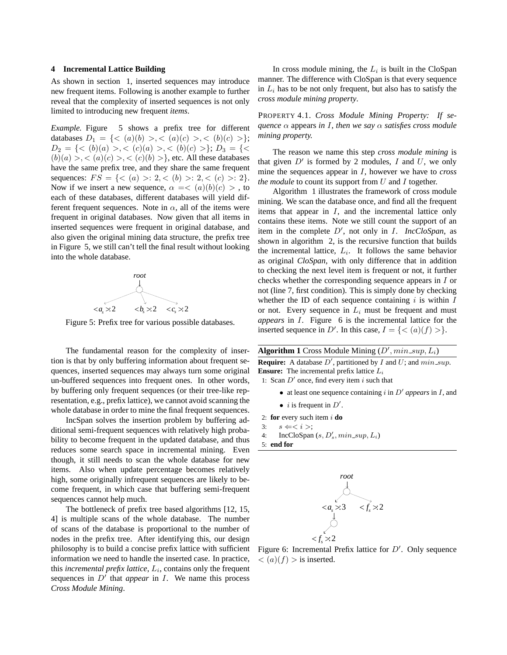#### **4 Incremental Lattice Building**

As shown in section 1, inserted sequences may introduce new frequent items. Following is another example to further reveal that the complexity of inserted sequences is not only limited to introducing new frequent *items*.

*Example.* Figure 5 shows a prefix tree for different databases  $D_1 = \{ \langle (a)(b) \rangle, \langle (a)(c) \rangle, \langle (b)(c) \rangle \};$  $D_2 = \{ \langle b \rangle(a) \rangle, \langle c \rangle(a) \rangle, \langle b \rangle(c) \rangle; D_3 = \{ \langle b \rangle, \langle d \rangle, \langle d \rangle, \langle d \rangle, \langle d \rangle \}$  $(b)(a)$ ,  $\lt$   $(a)(c)$ ,  $\lt$   $(c)(b)$ , etc. All these databases have the same prefix tree, and they share the same frequent sequences:  $FS = \{ \langle a \rangle >: 2, \langle b \rangle >: 2, \langle c \rangle >: 2 \}.$ Now if we insert a new sequence,  $\alpha = \langle (a)(b)(c) \rangle$ , to each of these databases, different databases will yield different frequent sequences. Note in  $\alpha$ , all of the items were frequent in original databases. Now given that all items in inserted sequences were frequent in original database, and also given the original mining data structure, the prefix tree in Figure 5, we still can't tell the final result without looking into the whole database.



Figure 5: Prefix tree for various possible databases.

The fundamental reason for the complexity of insertion is that by only buffering information about frequent sequences, inserted sequences may always turn some original un-buffered sequences into frequent ones. In other words, by buffering only frequent sequences (or their tree-like representation, e.g., prefix lattice), we cannot avoid scanning the whole database in order to mine the final frequent sequences.

IncSpan solves the insertion problem by buffering additional semi-frequent sequences with relatively high probability to become frequent in the updated database, and thus reduces some search space in incremental mining. Even though, it still needs to scan the whole database for new items. Also when update percentage becomes relatively high, some originally infrequent sequences are likely to become frequent, in which case that buffering semi-frequent sequences cannot help much.

The bottleneck of prefix tree based algorithms [12, 15, 4] is multiple scans of the whole database. The number of scans of the database is proportional to the number of nodes in the prefix tree. After identifying this, our design philosophy is to build a concise prefix lattice with sufficient information we need to handle the inserted case. In practice, this *incremental prefix lattice*,  $L<sub>i</sub>$ , contains only the frequent sequences in  $D'$  that *appear* in  $I$ . We name this process *Cross Module Mining*.

In cross module mining, the  $L_i$  is built in the CloSpan manner. The difference with CloSpan is that every sequence in  $L_i$  has to be not only frequent, but also has to satisfy the *cross module mining property*.

PROPERTY 4.1. *Cross Module Mining Property: If sequence*  $\alpha$  appears *in* I, then we say  $\alpha$  *satisfies cross module mining property.*

The reason we name this step *cross module mining* is that given  $D'$  is formed by 2 modules,  $I$  and  $U$ , we only mine the sequences appear in I, however we have to *cross the module* to count its support from  $U$  and  $I$  together.

Algorithm 1 illustrates the framework of cross module mining. We scan the database once, and find all the frequent items that appear in I, and the incremental lattice only contains these items. Note we still count the support of an item in the complete  $D'$ , not only in  $I$ . *IncCloSpan*, as shown in algorithm 2, is the recursive function that builds the incremental lattice,  $L_i$ . It follows the same behavior as original *CloSpan*, with only difference that in addition to checking the next level item is frequent or not, it further checks whether the corresponding sequence appears in I or not (line 7, first condition). This is simply done by checking whether the ID of each sequence containing  $i$  is within  $I$ or not. Every sequence in  $L_i$  must be frequent and must *appears* in I. Figure 6 is the incremental lattice for the inserted sequence in D'. In this case,  $I = \{ \langle a \rangle (f) > \}.$ 

**Algorithm 1** Cross Module Mining  $(D', min\_sup, L<sub>i</sub>)$ 

**Require:** A database  $D'$ , partitioned by I and  $U$ ; and  $min\_sup$ . **Ensure:** The incremental prefix lattice  $L_i$ 

1: Scan  $D'$  once, find every item i such that

- at least one sequence containing  $i$  in  $D'$  appears in  $I$ , and
- *i* is frequent in  $D'$ .
- 2: **for** every such item  $i$  **do**
- 3:  $s \Leftarrow < i >$ ;
- 4: IncCloSpan  $(s, D'_s, min\_sup, L_i)$

5: **end for**



Figure 6: Incremental Prefix lattice for  $D'$ . Only sequence  $\langle a \rangle(f)$  > is inserted.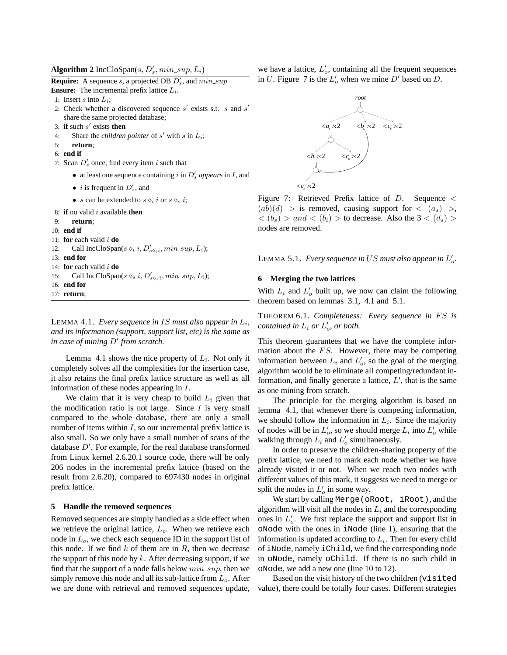| <b>Algorithm 2</b> IncCloSpan(s, $D'_s$ , $min\_sup$ , $L_i$ ) |  |  |  |
|----------------------------------------------------------------|--|--|--|
|----------------------------------------------------------------|--|--|--|

**Require:** A sequence s, a projected DB  $D'_s$ , and  $min\_sup$ **Ensure:** The incremental prefix lattice  $L_i$ .

- 1: Insert s into  $L_i$ ;
- 2: Check whether a discovered sequence  $s'$  exists s.t. s and  $s'$ share the same projected database;
- 3: **if** such  $s'$  exists **then**
- 4: Share the *children pointer* of  $s'$  with  $s$  in  $L_i$ ;
- 5: **return**;
- 6: **end if**
- 7: Scan  $D'_s$  once, find every item i such that
	- at least one sequence containing  $i$  in  $D'_s$  *appears* in  $I$ , and
	- *i* is frequent in  $D'_s$ , and
	- s can be extended to  $s \diamond_i i$  or  $s \diamond_s i$ ;
- 8: **if** no valid i available **then**
- 9: **return**;
- 10: **end if**
- 11: **for** each valid i **do**
- 12: Call IncCloSpan( $s \circ_i i, D'_{s \circ_i i}, min\_sup, L_i$ );
- 13: **end for**
- 14: **for** each valid  $i$  **do**
- 15: Call IncCloSpan( $s \circ_s i$ ,  $D'_{s \circ_s i}$ ,  $min\_sup$ ,  $L_i$ );
- 16: **end for**
- 17: **return**;

LEMMA 4.1. *Every sequence in IS must also appear in*  $L_i$ , *and its information (support, support list, etc) is the same as in case of mining D' from scratch.* 

Lemma 4.1 shows the nice property of  $L_i$ . Not only it completely solves all the complexities for the insertion case, it also retains the final prefix lattice structure as well as all information of these nodes appearing in I.

We claim that it is very cheap to build  $L<sub>i</sub>$  given that the modification ratio is not large. Since  $I$  is very small compared to the whole database, there are only a small number of items within  $I$ , so our incremental prefix lattice is also small. So we only have a small number of scans of the database  $D'$ . For example, for the real database transformed from Linux kernel 2.6.20.1 source code, there will be only 206 nodes in the incremental prefix lattice (based on the result from 2.6.20), compared to 697430 nodes in original prefix lattice.

#### **5 Handle the removed sequences**

Removed sequences are simply handled as a side effect when we retrieve the original lattice,  $L<sub>o</sub>$ . When we retrieve each node in  $L_0$ , we check each sequence ID in the support list of this node. If we find  $k$  of them are in  $R$ , then we decrease the support of this node by  $k$ . After decreasing support, if we find that the support of a node falls below  $min\_sup$ , then we simply remove this node and all its sub-lattice from  $L_0$ . After we are done with retrieval and removed sequences update, we have a lattice,  $L'_o$ , containing all the frequent sequences in U. Figure 7 is the  $L'_o$  when we mine D' based on D.



Figure 7: Retrieved Prefix lattice of D. Sequence  $\lt$  $(ab)(d) >$  is removed, causing support for  $\langle (a_s) \rangle$ ,  $\langle (b_s) \rangle$  and  $\langle (b_i) \rangle$  to decrease. Also the 3  $\langle (d_s) \rangle$ nodes are removed.

LEMMA 5.1. *Every sequence in US must also appear in*  $L'_o$ *.* 

#### **6 Merging the two lattices**

With  $L_i$  and  $L'_o$  built up, we now can claim the following theorem based on lemmas 3.1, 4.1 and 5.1.

THEOREM 6.1. *Completeness: Every sequence in FS is contained in*  $L_i$  *or*  $L'_o$ *, or both.* 

This theorem guarantees that we have the complete information about the  $FS$ . However, there may be competing information between  $L_i$  and  $L'_o$ , so the goal of the merging algorithm would be to eliminate all competing/redundant information, and finally generate a lattice,  $L'$ , that is the same as one mining from scratch.

The principle for the merging algorithm is based on lemma 4.1, that whenever there is competing information, we should follow the information in  $L_i$ . Since the majority of nodes will be in  $L'_o$ , so we should merge  $L_i$  into  $L'_o$  while walking through  $L_i$  and  $L'_o$  simultaneously.

In order to preserve the children-sharing property of the prefix lattice, we need to mark each node whether we have already visited it or not. When we reach two nodes with different values of this mark, it suggests we need to merge or split the nodes in  $L'_{o}$  in some way.

We start by calling Merge(oRoot, iRoot), and the algorithm will visit all the nodes in  $L_i$  and the corresponding ones in  $L'_o$ . We first replace the support and support list in oNode with the ones in iNode (line 1), ensuring that the information is updated according to  $L<sub>i</sub>$ . Then for every child of iNode, namely iChild, we find the corresponding node in oNode, namely oChild. If there is no such child in oNode, we add a new one (line 10 to 12).

Based on the visit history of the two children (visited value), there could be totally four cases. Different strategies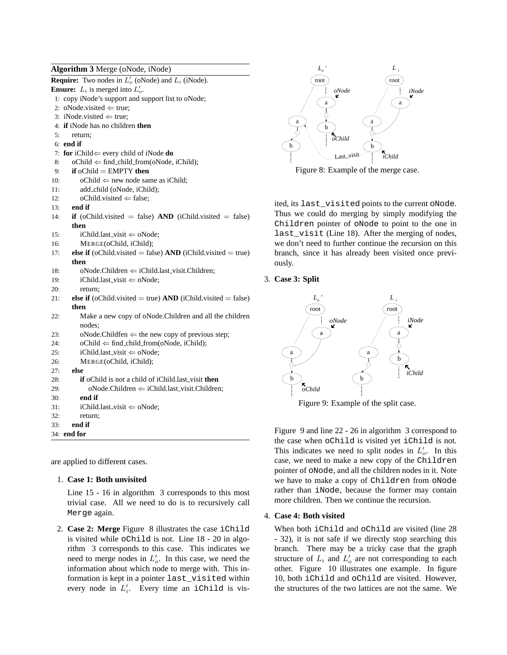#### **Algorithm 3** Merge (oNode, iNode)

**Require:** Two nodes in  $L'_{o}$  (oNode) and  $L_{i}$  (iNode). **Ensure:**  $L_i$  is merged into  $L'_o$ . 1: copy iNode's support and support list to oNode; 2: oNode.visited  $\Leftarrow$  true; 3: iNode.visited  $\Leftarrow$  true; 4: **if** iNode has no children **then** 5: return; 6: **end if** 7: **for** iChild⇐ every child of iNode **do** 8:  $oChild \Leftarrow find\_child\_from(oNode, iChild);$ 9: **if** oChild = EMPTY **then** 10:  $oChild \Leftarrow new node same as iChild;$ 11: add child (oNode, iChild); 12: oChild.visited  $\Leftarrow$  false; 13: **end if** 14: **if** (oChild.visited = false) **AND** (iChild.visited = false) **then** 15: iChild.last\_visit  $\Leftarrow$  oNode; 16: MERGE(oChild, iChild); 17: **else if** (oChild.visited  $=$  false) **AND** (iChild.visited  $=$  true) **then** 18: oNode.Children  $\Leftarrow$  iChild.last\_visit.Children; 19:  $iChilduast_visit \Leftarrow oNode$ : 20: return; 21: **else if** (oChild.visited = true)  $AND$  (iChild.visited = false) **then** 22: Make a new copy of oNode.Children and all the children nodes; 23: oNode.Childfen  $\Leftarrow$  the new copy of previous step; 24:  $oChild \Leftarrow find\_child\_from(oNode, iChild);$ 25: iChild.last\_visit  $\Leftarrow$  oNode; 26: MERGE(oChild, iChild); 27: **else** 28: **if** oChild is not a child of iChild.last visit **then** 29: oNode.Children  $\Leftarrow$  iChild.last\_visit.Children; 30: **end if** 31:  $iChild. last\_visit \Leftarrow oNode;$ 32: return; 33: **end if** 34: **end for**

are applied to different cases.

#### 1. **Case 1: Both unvisited**

Line 15 - 16 in algorithm 3 corresponds to this most trivial case. All we need to do is to recursively call Merge again.

2. **Case 2: Merge** Figure 8 illustrates the case iChild is visited while oChild is not. Line 18 - 20 in algorithm 3 corresponds to this case. This indicates we need to merge nodes in  $L'_{o}$ . In this case, we need the information about which node to merge with. This information is kept in a pointer last\_visited within every node in  $L'_i$ . Every time an iChild is vis-



Figure 8: Example of the merge case.

ited, its last\_visited points to the current oNode. Thus we could do merging by simply modifying the Children pointer of oNode to point to the one in last\_visit (Line 18). After the merging of nodes, we don't need to further continue the recursion on this branch, since it has already been visited once previously.

3. **Case 3: Split**



Figure 9: Example of the split case.

Figure 9 and line 22 - 26 in algorithm 3 correspond to the case when oChild is visited yet iChild is not. This indicates we need to split nodes in  $L'_{o}$ . In this case, we need to make a new copy of the Children pointer of oNode, and all the children nodes in it. Note we have to make a copy of Children from oNode rather than iNode, because the former may contain more children. Then we continue the recursion.

## 4. **Case 4: Both visited**

When both iChild and oChild are visited (line 28 - 32), it is not safe if we directly stop searching this branch. There may be a tricky case that the graph structure of  $L_i$  and  $L'_o$  are not corresponding to each other. Figure 10 illustrates one example. In figure 10, both iChild and oChild are visited. However, the structures of the two lattices are not the same. We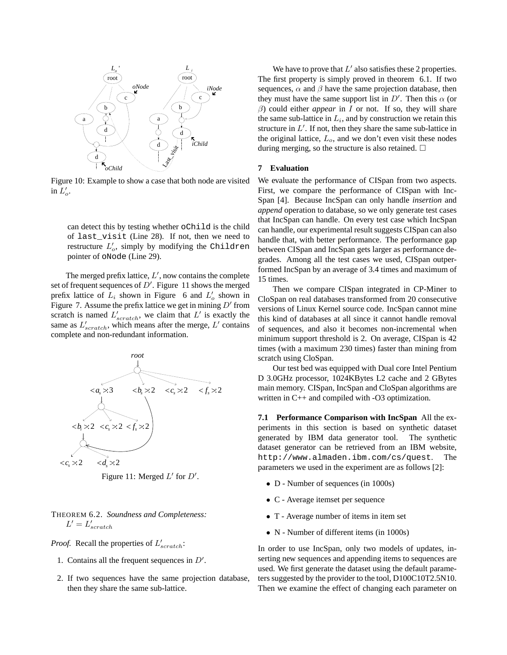

Figure 10: Example to show a case that both node are visited in  $L'_o$ .

can detect this by testing whether oChild is the child of last\_visit (Line 28). If not, then we need to restructure  $L'_o$ , simply by modifying the Children pointer of oNode (Line 29).

The merged prefix lattice,  $L'$ , now contains the complete set of frequent sequences of  $D'$ . Figure 11 shows the merged prefix lattice of  $L_i$  shown in Figure 6 and  $L'_o$  shown in Figure 7. Assume the prefix lattice we get in mining  $D'$  from scratch is named  $L'_{search}$ , we claim that  $L'$  is exactly the same as  $L'_{seratch}$ , which means after the merge,  $L'$  contains complete and non-redundant information.



Figure 11: Merged  $L'$  for  $D'$ .

# THEOREM 6.2. *Soundness and Completeness:*  $L' = L'_{scratch}$

*Proof.* Recall the properties of  $L'_{scratch}$ :

- 1. Contains all the frequent sequences in  $D'$ .
- 2. If two sequences have the same projection database, then they share the same sub-lattice.

We have to prove that  $L'$  also satisfies these 2 properties. The first property is simply proved in theorem 6.1. If two sequences,  $\alpha$  and  $\beta$  have the same projection database, then they must have the same support list in  $D'$ . Then this  $\alpha$  (or  $\beta$ ) could either *appear* in I or not. If so, they will share the same sub-lattice in  $L_i$ , and by construction we retain this structure in  $L'$ . If not, then they share the same sub-lattice in the original lattice,  $L<sub>o</sub>$ , and we don't even visit these nodes during merging, so the structure is also retained.  $\square$ 

#### **7 Evaluation**

We evaluate the performance of CISpan from two aspects. First, we compare the performance of CISpan with Inc-Span [4]. Because IncSpan can only handle *insertion* and *append* operation to database, so we only generate test cases that IncSpan can handle. On every test case which IncSpan can handle, our experimental result suggests CISpan can also handle that, with better performance. The performance gap between CISpan and IncSpan gets larger as performance degrades. Among all the test cases we used, CISpan outperformed IncSpan by an average of 3.4 times and maximum of 15 times.

Then we compare CISpan integrated in CP-Miner to CloSpan on real databases transformed from 20 consecutive versions of Linux Kernel source code. IncSpan cannot mine this kind of databases at all since it cannot handle removal of sequences, and also it becomes non-incremental when minimum support threshold is 2. On average, CISpan is 42 times (with a maximum 230 times) faster than mining from scratch using CloSpan.

Our test bed was equipped with Dual core Intel Pentium D 3.0GHz processor, 1024KBytes L2 cache and 2 GBytes main memory. CISpan, IncSpan and CloSpan algorithms are written in C++ and compiled with -O3 optimization.

**7.1 Performance Comparison with IncSpan** All the experiments in this section is based on synthetic dataset generated by IBM data generator tool. The synthetic dataset generator can be retrieved from an IBM website, http://www.almaden.ibm.com/cs/quest. The parameters we used in the experiment are as follows [2]:

- D Number of sequences (in 1000s)
- C Average itemset per sequence
- T Average number of items in item set
- N Number of different items (in 1000s)

In order to use IncSpan, only two models of updates, inserting new sequences and appending items to sequences are used. We first generate the dataset using the default parameters suggested by the provider to the tool, D100C10T2.5N10. Then we examine the effect of changing each parameter on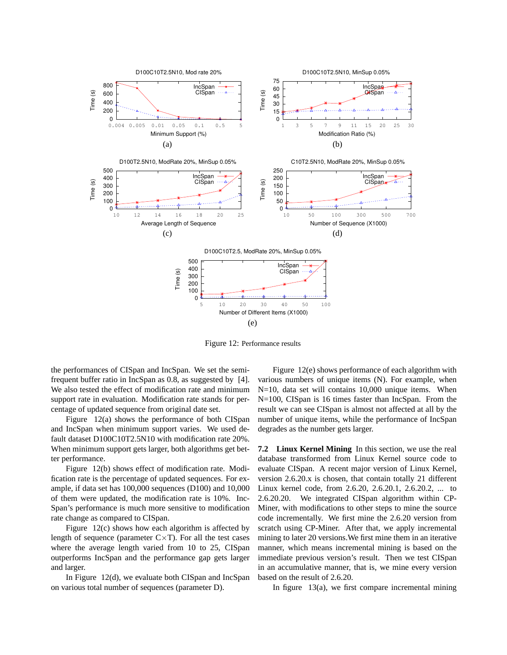

Figure 12: Performance results

the performances of CISpan and IncSpan. We set the semifrequent buffer ratio in IncSpan as 0.8, as suggested by [4]. We also tested the effect of modification rate and minimum support rate in evaluation. Modification rate stands for percentage of updated sequence from original date set.

Figure 12(a) shows the performance of both CISpan and IncSpan when minimum support varies. We used default dataset D100C10T2.5N10 with modification rate 20%. When minimum support gets larger, both algorithms get better performance.

Figure 12(b) shows effect of modification rate. Modification rate is the percentage of updated sequences. For example, if data set has 100,000 sequences (D100) and 10,000 of them were updated, the modification rate is 10%. Inc-Span's performance is much more sensitive to modification rate change as compared to CISpan.

Figure 12(c) shows how each algorithm is affected by length of sequence (parameter  $C \times T$ ). For all the test cases where the average length varied from 10 to 25, CISpan outperforms IncSpan and the performance gap gets larger and larger.

In Figure 12(d), we evaluate both CISpan and IncSpan on various total number of sequences (parameter D).

Figure 12(e) shows performance of each algorithm with various numbers of unique items (N). For example, when N=10, data set will contains 10,000 unique items. When N=100, CISpan is 16 times faster than IncSpan. From the result we can see CISpan is almost not affected at all by the number of unique items, while the performance of IncSpan degrades as the number gets larger.

**7.2 Linux Kernel Mining** In this section, we use the real database transformed from Linux Kernel source code to evaluate CISpan. A recent major version of Linux Kernel, version 2.6.20.x is chosen, that contain totally 21 different Linux kernel code, from 2.6.20, 2.6.20.1, 2.6.20.2, ... to 2.6.20.20. We integrated CISpan algorithm within CP-Miner, with modifications to other steps to mine the source code incrementally. We first mine the 2.6.20 version from scratch using CP-Miner. After that, we apply incremental mining to later 20 versions.We first mine them in an iterative manner, which means incremental mining is based on the immediate previous version's result. Then we test CISpan in an accumulative manner, that is, we mine every version based on the result of 2.6.20.

In figure  $13(a)$ , we first compare incremental mining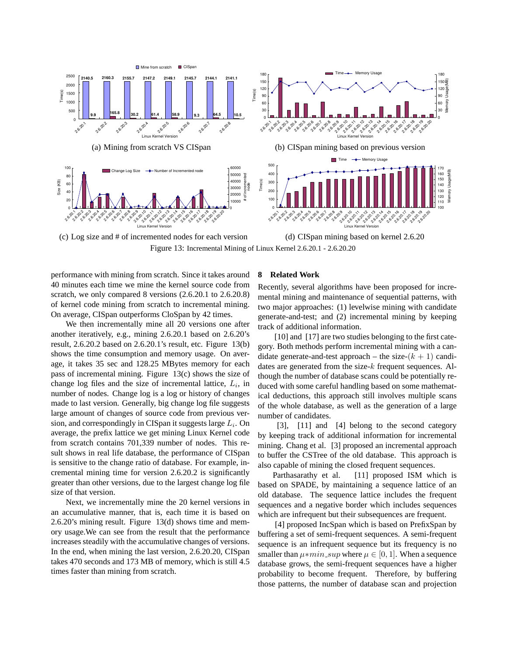

(c) Log size and # of incremented nodes for each version

(d) CISpan mining based on kernel 2.6.20 Figure 13: Incremental Mining of Linux Kernel 2.6.20.1 - 2.6.20.20

performance with mining from scratch. Since it takes around 40 minutes each time we mine the kernel source code from scratch, we only compared 8 versions (2.6.20.1 to 2.6.20.8) of kernel code mining from scratch to incremental mining. On average, CISpan outperforms CloSpan by 42 times.

We then incrementally mine all 20 versions one after another iteratively, e.g., mining 2.6.20.1 based on 2.6.20's result, 2.6.20.2 based on 2.6.20.1's result, etc. Figure 13(b) shows the time consumption and memory usage. On average, it takes 35 sec and 128.25 MBytes memory for each pass of incremental mining. Figure 13(c) shows the size of change log files and the size of incremental lattice,  $L_i$ , in number of nodes. Change log is a log or history of changes made to last version. Generally, big change log file suggests large amount of changes of source code from previous version, and correspondingly in CISpan it suggests large  $L_i$ . On average, the prefix lattice we get mining Linux Kernel code from scratch contains 701,339 number of nodes. This result shows in real life database, the performance of CISpan is sensitive to the change ratio of database. For example, incremental mining time for version 2.6.20.2 is significantly greater than other versions, due to the largest change log file size of that version.

Next, we incrementally mine the 20 kernel versions in an accumulative manner, that is, each time it is based on 2.6.20's mining result. Figure 13(d) shows time and memory usage.We can see from the result that the performance increases steadily with the accumulative changes of versions. In the end, when mining the last version, 2.6.20.20, CISpan takes 470 seconds and 173 MB of memory, which is still 4.5 times faster than mining from scratch.

# **8 Related Work**

Recently, several algorithms have been proposed for incremental mining and maintenance of sequential patterns, with two major approaches: (1) levelwise mining with candidate generate-and-test; and (2) incremental mining by keeping track of additional information.

[10] and [17] are two studies belonging to the first category. Both methods perform incremental mining with a candidate generate-and-test approach – the size- $(k + 1)$  candidates are generated from the size-k frequent sequences. Although the number of database scans could be potentially reduced with some careful handling based on some mathematical deductions, this approach still involves multiple scans of the whole database, as well as the generation of a large number of candidates.

[3], [11] and [4] belong to the second category by keeping track of additional information for incremental mining. Chang et al. [3] proposed an incremental approach to buffer the CSTree of the old database. This approach is also capable of mining the closed frequent sequences.

Parthasarathy et al. [11] proposed ISM which is based on SPADE, by maintaining a sequence lattice of an old database. The sequence lattice includes the frequent sequences and a negative border which includes sequences which are infrequent but their subsequences are frequent.

[4] proposed IncSpan which is based on PrefixSpan by buffering a set of semi-frequent sequences. A semi-frequent sequence is an infrequent sequence but its frequency is no smaller than  $\mu * min\_sup$  where  $\mu \in [0, 1]$ . When a sequence database grows, the semi-frequent sequences have a higher probability to become frequent. Therefore, by buffering those patterns, the number of database scan and projection